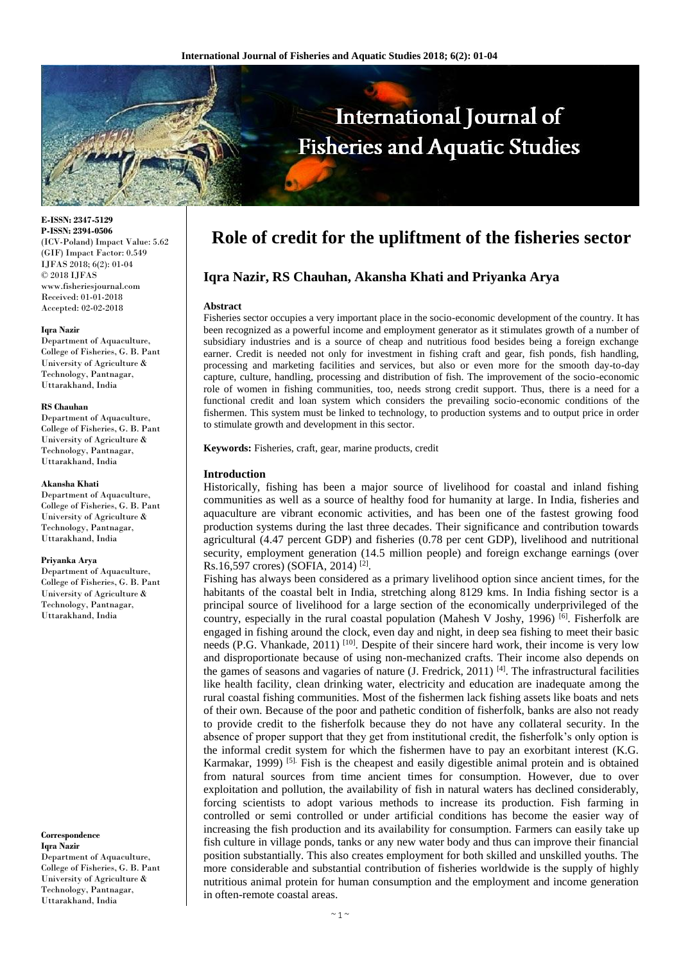

**E-ISSN: 2347-5129 P-ISSN: 2394-0506** (ICV-Poland) Impact Value: 5.62 (GIF) Impact Factor: 0.549 IJFAS 2018; 6(2): 01-04 © 2018 IJFAS www.fisheriesjournal.com Received: 01-01-2018 Accepted: 02-02-2018

#### **Iqra Nazir**

Department of Aquaculture, College of Fisheries, G. B. Pant University of Agriculture & Technology, Pantnagar, Uttarakhand, India

#### **RS Chauhan**

Department of Aquaculture, College of Fisheries, G. B. Pant University of Agriculture & Technology, Pantnagar, Uttarakhand, India

#### **Akansha Khati**

Department of Aquaculture, College of Fisheries, G. B. Pant University of Agriculture & Technology, Pantnagar, Uttarakhand, India

#### **Priyanka Arya**

Department of Aquaculture, College of Fisheries, G. B. Pant University of Agriculture & Technology, Pantnagar, Uttarakhand, India

#### **Correspondence Iqra Nazir** Department of Aquaculture, College of Fisheries, G. B. Pant University of Agriculture & Technology, Pantnagar, Uttarakhand, India

# **Role of credit for the upliftment of the fisheries sector**

# **Iqra Nazir, RS Chauhan, Akansha Khati and Priyanka Arya**

#### **Abstract**

Fisheries sector occupies a very important place in the socio-economic development of the country. It has been recognized as a powerful income and employment generator as it stimulates growth of a number of subsidiary industries and is a source of cheap and nutritious food besides being a foreign exchange earner. Credit is needed not only for investment in fishing craft and gear, fish ponds, fish handling, processing and marketing facilities and services, but also or even more for the smooth day-to-day capture, culture, handling, processing and distribution of fish. The improvement of the socio-economic role of women in fishing communities, too, needs strong credit support. Thus, there is a need for a functional credit and loan system which considers the prevailing socio-economic conditions of the fishermen. This system must be linked to technology, to production systems and to output price in order to stimulate growth and development in this sector.

**Keywords:** Fisheries, craft, gear, marine products, credit

#### **Introduction**

Historically, fishing has been a major source of livelihood for coastal and inland fishing communities as well as a source of healthy food for humanity at large. In India, fisheries and aquaculture are vibrant economic activities, and has been one of the fastest growing food production systems during the last three decades. Their significance and contribution towards agricultural (4.47 percent GDP) and fisheries (0.78 per cent GDP), livelihood and nutritional security, employment generation (14.5 million people) and foreign exchange earnings (over Rs.16,597 crores) (SOFIA, 2014)<sup>[2]</sup>.

Fishing has always been considered as a primary livelihood option since ancient times, for the habitants of the coastal belt in India, stretching along 8129 kms. In India fishing sector is a principal source of livelihood for a large section of the economically underprivileged of the country, especially in the rural coastal population (Mahesh V Joshy, 1996) <sup>[6]</sup>. Fisherfolk are engaged in fishing around the clock, even day and night, in deep sea fishing to meet their basic needs (P.G. Vhankade, 2011)<sup>[10]</sup>. Despite of their sincere hard work, their income is very low and disproportionate because of using non-mechanized crafts. Their income also depends on the games of seasons and vagaries of nature (J. Fredrick, 2011)  $^{[4]}$ . The infrastructural facilities like health facility, clean drinking water, electricity and education are inadequate among the rural coastal fishing communities. Most of the fishermen lack fishing assets like boats and nets of their own. Because of the poor and pathetic condition of fisherfolk, banks are also not ready to provide credit to the fisherfolk because they do not have any collateral security. In the absence of proper support that they get from institutional credit, the fisherfolk's only option is the informal credit system for which the fishermen have to pay an exorbitant interest (K.G. Karmakar, 1999) <sup>[5].</sup> Fish is the cheapest and easily digestible animal protein and is obtained from natural sources from time ancient times for consumption. However, due to over exploitation and pollution, the availability of fish in natural waters has declined considerably, forcing scientists to adopt various methods to increase its production. Fish farming in controlled or semi controlled or under artificial conditions has become the easier way of increasing the fish production and its availability for consumption. Farmers can easily take up fish culture in village ponds, tanks or any new water body and thus can improve their financial position substantially. This also creates employment for both skilled and unskilled youths. The more considerable and substantial contribution of fisheries worldwide is the supply of highly nutritious animal protein for human consumption and the employment and income generation in often-remote coastal areas.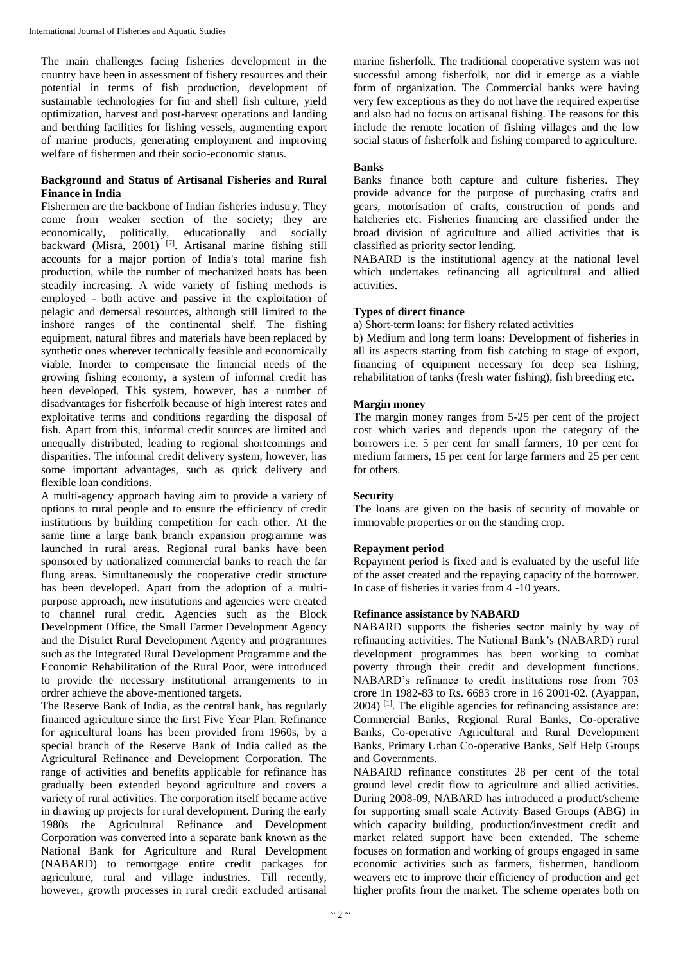The main challenges facing fisheries development in the country have been in assessment of fishery resources and their potential in terms of fish production, development of sustainable technologies for fin and shell fish culture, yield optimization, harvest and post-harvest operations and landing and berthing facilities for fishing vessels, augmenting export of marine products, generating employment and improving welfare of fishermen and their socio-economic status.

## **Background and Status of Artisanal Fisheries and Rural Finance in India**

Fishermen are the backbone of Indian fisheries industry. They come from weaker section of the society; they are economically, politically, educationally and socially backward (Misra, 2001)<sup>[7]</sup>. Artisanal marine fishing still accounts for a major portion of India's total marine fish production, while the number of mechanized boats has been steadily increasing. A wide variety of fishing methods is employed - both active and passive in the exploitation of pelagic and demersal resources, although still limited to the inshore ranges of the continental shelf. The fishing equipment, natural fibres and materials have been replaced by synthetic ones wherever technically feasible and economically viable. Inorder to compensate the financial needs of the growing fishing economy, a system of informal credit has been developed. This system, however, has a number of disadvantages for fisherfolk because of high interest rates and exploitative terms and conditions regarding the disposal of fish. Apart from this, informal credit sources are limited and unequally distributed, leading to regional shortcomings and disparities. The informal credit delivery system, however, has some important advantages, such as quick delivery and flexible loan conditions.

A multi-agency approach having aim to provide a variety of options to rural people and to ensure the efficiency of credit institutions by building competition for each other. At the same time a large bank branch expansion programme was launched in rural areas. Regional rural banks have been sponsored by nationalized commercial banks to reach the far flung areas. Simultaneously the cooperative credit structure has been developed. Apart from the adoption of a multipurpose approach, new institutions and agencies were created to channel rural credit. Agencies such as the Block Development Office, the Small Farmer Development Agency and the District Rural Development Agency and programmes such as the Integrated Rural Development Programme and the Economic Rehabilitation of the Rural Poor, were introduced to provide the necessary institutional arrangements to in ordrer achieve the above-mentioned targets.

The Reserve Bank of India, as the central bank, has regularly financed agriculture since the first Five Year Plan. Refinance for agricultural loans has been provided from 1960s, by a special branch of the Reserve Bank of India called as the Agricultural Refinance and Development Corporation. The range of activities and benefits applicable for refinance has gradually been extended beyond agriculture and covers a variety of rural activities. The corporation itself became active in drawing up projects for rural development. During the early 1980s the Agricultural Refinance and Development Corporation was converted into a separate bank known as the National Bank for Agriculture and Rural Development (NABARD) to remortgage entire credit packages for agriculture, rural and village industries. Till recently, however, growth processes in rural credit excluded artisanal

marine fisherfolk. The traditional cooperative system was not successful among fisherfolk, nor did it emerge as a viable form of organization. The Commercial banks were having very few exceptions as they do not have the required expertise and also had no focus on artisanal fishing. The reasons for this include the remote location of fishing villages and the low social status of fisherfolk and fishing compared to agriculture.

# **Banks**

Banks finance both capture and culture fisheries. They provide advance for the purpose of purchasing crafts and gears, motorisation of crafts, construction of ponds and hatcheries etc. Fisheries financing are classified under the broad division of agriculture and allied activities that is classified as priority sector lending.

NABARD is the institutional agency at the national level which undertakes refinancing all agricultural and allied activities.

# **Types of direct finance**

a) Short-term loans: for fishery related activities

b) Medium and long term loans: Development of fisheries in all its aspects starting from fish catching to stage of export, financing of equipment necessary for deep sea fishing, rehabilitation of tanks (fresh water fishing), fish breeding etc.

# **Margin money**

The margin money ranges from 5-25 per cent of the project cost which varies and depends upon the category of the borrowers i.e. 5 per cent for small farmers, 10 per cent for medium farmers, 15 per cent for large farmers and 25 per cent for others.

## **Security**

The loans are given on the basis of security of movable or immovable properties or on the standing crop.

## **Repayment period**

Repayment period is fixed and is evaluated by the useful life of the asset created and the repaying capacity of the borrower. In case of fisheries it varies from 4 -10 years.

## **Refinance assistance by NABARD**

NABARD supports the fisheries sector mainly by way of refinancing activities. The National Bank's (NABARD) rural development programmes has been working to combat poverty through their credit and development functions. NABARD's refinance to credit institutions rose from 703 crore 1n 1982-83 to Rs. 6683 crore in 16 2001-02. (Ayappan, 2004) [1]. The eligible agencies for refinancing assistance are: Commercial Banks, Regional Rural Banks, Co-operative Banks, Co-operative Agricultural and Rural Development Banks, Primary Urban Co-operative Banks, Self Help Groups and Governments.

NABARD refinance constitutes 28 per cent of the total ground level credit flow to agriculture and allied activities. During 2008-09, NABARD has introduced a product/scheme for supporting small scale Activity Based Groups (ABG) in which capacity building, production/investment credit and market related support have been extended. The scheme focuses on formation and working of groups engaged in same economic activities such as farmers, fishermen, handloom weavers etc to improve their efficiency of production and get higher profits from the market. The scheme operates both on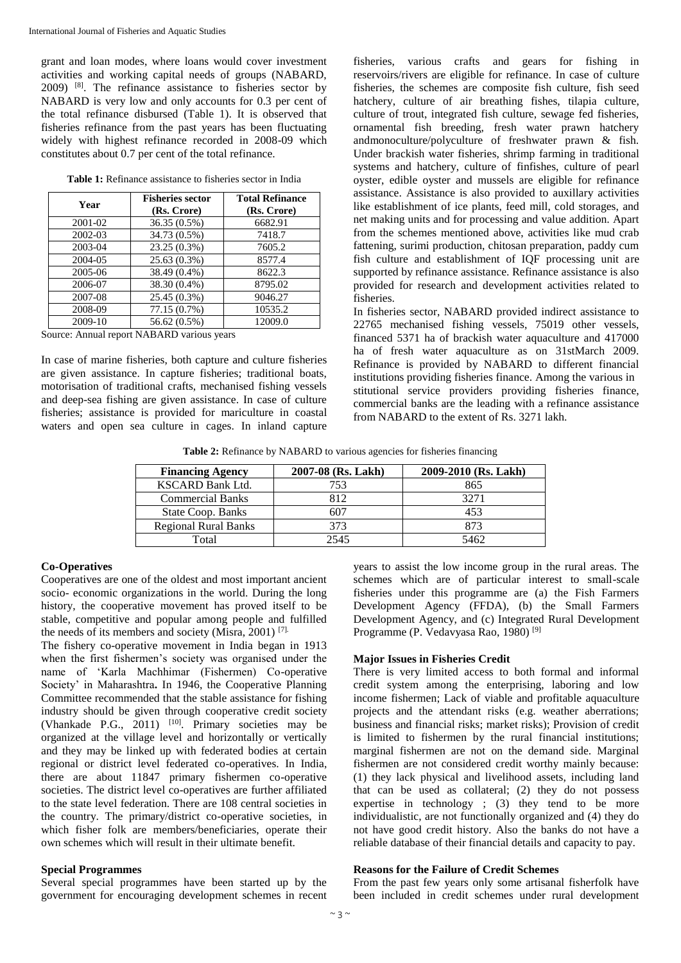grant and loan modes, where loans would cover investment activities and working capital needs of groups (NABARD, 2009) [8]. The refinance assistance to fisheries sector by NABARD is very low and only accounts for 0.3 per cent of the total refinance disbursed (Table 1). It is observed that fisheries refinance from the past years has been fluctuating widely with highest refinance recorded in 2008-09 which constitutes about 0.7 per cent of the total refinance.

| <b>Table 1:</b> Refinance assistance to fisheries sector in India |  |  |  |
|-------------------------------------------------------------------|--|--|--|
|-------------------------------------------------------------------|--|--|--|

| Year    | <b>Fisheries sector</b> | <b>Total Refinance</b> |
|---------|-------------------------|------------------------|
|         | (Rs. Crore)             | (Rs. Crore)            |
| 2001-02 | 36.35 (0.5%)            | 6682.91                |
| 2002-03 | 34.73 (0.5%)            | 7418.7                 |
| 2003-04 | 23.25 (0.3%)            | 7605.2                 |
| 2004-05 | 25.63 (0.3%)            | 8577.4                 |
| 2005-06 | 38.49 (0.4%)            | 8622.3                 |
| 2006-07 | 38.30 (0.4%)            | 8795.02                |
| 2007-08 | 25.45 (0.3%)            | 9046.27                |
| 2008-09 | 77.15 (0.7%)            | 10535.2                |
| 2009-10 | 56.62 (0.5%)            | 12009.0                |

Source: Annual report NABARD various years

In case of marine fisheries, both capture and culture fisheries are given assistance. In capture fisheries; traditional boats, motorisation of traditional crafts, mechanised fishing vessels and deep-sea fishing are given assistance. In case of culture fisheries; assistance is provided for mariculture in coastal waters and open sea culture in cages. In inland capture

fisheries, various crafts and gears for fishing in reservoirs/rivers are eligible for refinance. In case of culture fisheries, the schemes are composite fish culture, fish seed hatchery, culture of air breathing fishes, tilapia culture, culture of trout, integrated fish culture, sewage fed fisheries, ornamental fish breeding, fresh water prawn hatchery andmonoculture/polyculture of freshwater prawn & fish. Under brackish water fisheries, shrimp farming in traditional systems and hatchery, culture of finfishes, culture of pearl oyster, edible oyster and mussels are eligible for refinance assistance. Assistance is also provided to auxillary activities like establishment of ice plants, feed mill, cold storages, and net making units and for processing and value addition. Apart from the schemes mentioned above, activities like mud crab fattening, surimi production, chitosan preparation, paddy cum fish culture and establishment of IQF processing unit are supported by refinance assistance. Refinance assistance is also provided for research and development activities related to fisheries.

In fisheries sector, NABARD provided indirect assistance to 22765 mechanised fishing vessels, 75019 other vessels, financed 5371 ha of brackish water aquaculture and 417000 ha of fresh water aquaculture as on 31stMarch 2009. Refinance is provided by NABARD to different financial institutions providing fisheries finance. Among the various in stitutional service providers providing fisheries finance, commercial banks are the leading with a refinance assistance from NABARD to the extent of Rs. 3271 lakh.

**Table 2:** Refinance by NABARD to various agencies for fisheries financing

| <b>Financing Agency</b>     | 2007-08 (Rs. Lakh) | 2009-2010 (Rs. Lakh) |
|-----------------------------|--------------------|----------------------|
| <b>KSCARD Bank Ltd.</b>     | 753                | 865                  |
| <b>Commercial Banks</b>     | 812                | 3271                 |
| State Coop. Banks           | 607                | 453                  |
| <b>Regional Rural Banks</b> | 373                | 873                  |
| Total                       | 2545               | 5462                 |

### **Co-Operatives**

Cooperatives are one of the oldest and most important ancient socio- economic organizations in the world. During the long history, the cooperative movement has proved itself to be stable, competitive and popular among people and fulfilled the needs of its members and society (Misra, 2001) [7].

The fishery co-operative movement in India began in 1913 when the first fishermen's society was organised under the name of 'Karla Machhimar (Fishermen) Co-operative Society' in Maharashtra**.** In 1946, the Cooperative Planning Committee recommended that the stable assistance for fishing industry should be given through cooperative credit society (Vhankade P.G., 2011)  $[10]$ . Primary societies may be organized at the village level and horizontally or vertically and they may be linked up with federated bodies at certain regional or district level federated co-operatives. In India, there are about 11847 primary fishermen co-operative societies. The district level co-operatives are further affiliated to the state level federation. There are 108 central societies in the country. The primary/district co-operative societies, in which fisher folk are members/beneficiaries, operate their own schemes which will result in their ultimate benefit.

### **Special Programmes**

Several special programmes have been started up by the government for encouraging development schemes in recent years to assist the low income group in the rural areas. The schemes which are of particular interest to small-scale fisheries under this programme are (a) the Fish Farmers Development Agency (FFDA), (b) the Small Farmers Development Agency, and (c) Integrated Rural Development Programme (P. Vedavyasa Rao, 1980)<sup>[9]</sup>

### **Major Issues in Fisheries Credit**

There is very limited access to both formal and informal credit system among the enterprising, laboring and low income fishermen; Lack of viable and profitable aquaculture projects and the attendant risks (e.g. weather aberrations; business and financial risks; market risks); Provision of credit is limited to fishermen by the rural financial institutions; marginal fishermen are not on the demand side. Marginal fishermen are not considered credit worthy mainly because: (1) they lack physical and livelihood assets, including land that can be used as collateral; (2) they do not possess expertise in technology ; (3) they tend to be more individualistic, are not functionally organized and (4) they do not have good credit history. Also the banks do not have a reliable database of their financial details and capacity to pay.

### **Reasons for the Failure of Credit Schemes**

From the past few years only some artisanal fisherfolk have been included in credit schemes under rural development